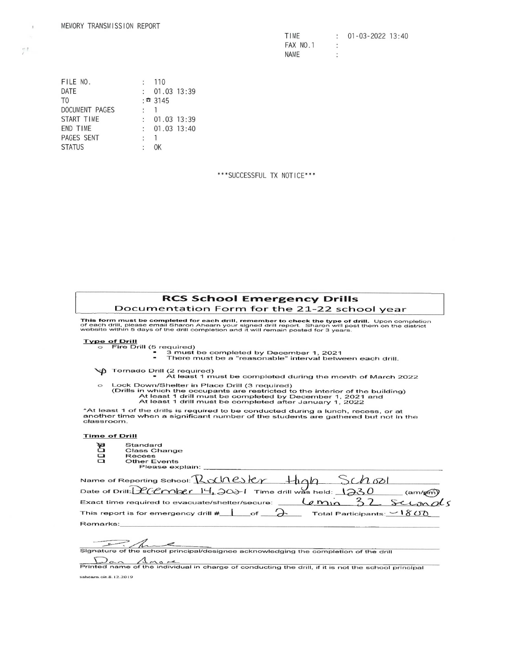| MEMORY TRANSMISSION REPORT                                                                        |                                                                                                                                                                                                                  |            |
|---------------------------------------------------------------------------------------------------|------------------------------------------------------------------------------------------------------------------------------------------------------------------------------------------------------------------|------------|
| FILE NO.<br>DATE<br>T0<br>DOCUMENT PAGES<br>START TIME<br>END TIME<br>PAGES SENT<br><b>STATUS</b> | 110<br>$\ddot{\cdot}$<br>01.03 13:39<br>: 3145<br>$\mathbf{1}$<br>$\ddot{\cdot}$<br>$\ddot{\cdot}$<br>01.03 13:39<br>:<br>01.03 13:40<br>$\mathbf{1}$<br>$\ddot{\cdot}$<br>$\overline{\phantom{a}}$<br><b>OK</b> | ***SUCCESS |
| $\sim$                                                                                            |                                                                                                                                                                                                                  |            |

\*\*\*SUCCESSFUL TX NOTICE\*\*\*

## RCS School Emergency Drills Documentation Form for the 21-22 school year

- -
- Type of Drill<br>○ Fire Drill (5 required)<br>● 3 must be a "reasonable" interval between each drill.<br>● 7 here must be a "reasonable" interval between each drill.
	- **M** Tornado Drill (2 required)

- Lock Down/Shelter in Place Drill (3 required)<br>(Drills in which the occupants are restricted to the interior of the building)<br>At least 1 drill must be completed after January 1, 2021<br>At least 1 drill must be completed after **chool Emergency**<br>
n Form for the 21-2<br>
beach drill, remember to check the<br>
hearn your signed drill report. Share<br>
pletion and it will remain posted for<br>
a completed by December 1, is<br>
a "reasonable" interval<br>
and<br>
a must
- \*At least 1 of the drills is required to be conducted during a lunch, recess, or at another time when a significant number of the students are gathered but not in the classroom.

## Time of Drill

- 
- Standard<br>Class Change<br>Recess<br>Other Events Please explain:

| <b>RCS School Emergency Drills</b>                                                                                                                                                                                                                                                                    |
|-------------------------------------------------------------------------------------------------------------------------------------------------------------------------------------------------------------------------------------------------------------------------------------------------------|
| Documentation Form for the 21-22 school year                                                                                                                                                                                                                                                          |
| This form must be completed for each drill, remember to check the type of drill. Upon completion<br>of each drill, please email Sharon Ahearn your signed drill report. Sharon will post them on the district<br>website within 5 days of the drill completion and it will remain posted for 3 years. |
| <b>Type of Drill</b>                                                                                                                                                                                                                                                                                  |
| Fire Drill (5 required)<br>3 must be completed by December 1, 2021<br>There must be a "reasonable" interval between each drill.                                                                                                                                                                       |
| <b>G</b> Tornado Drill (2 required)<br>At least 1 must be completed during the month of March 2022                                                                                                                                                                                                    |
| Lock Down/Shelter in Place Drill (3 required)<br>$\circ$<br>(Drills in which the occupants are restricted to the interior of the building)<br>At least 1 drill must be completed by December 1, 2021 and<br>At least 1 drill must be completed after January 1, 2022                                  |
| *At least 1 of the drills is required to be conducted during a lunch, recess, or at<br>another time when a significant number of the students are gathered but not in the<br>classroom.                                                                                                               |
| <b>Time of Drill</b>                                                                                                                                                                                                                                                                                  |
| Standard<br>g<br><b>Class Change</b>                                                                                                                                                                                                                                                                  |
| Recess<br>$\Box$                                                                                                                                                                                                                                                                                      |
| <b>Other Events</b><br>Please explain:                                                                                                                                                                                                                                                                |
| Name of Reporting School: Rachester +hgh<br>$n$ ord                                                                                                                                                                                                                                                   |
| Date of Drill: $200n \times 14.20 + 1$ Time drill was held: 123<br>(am/p                                                                                                                                                                                                                              |
| Exact time required to evacuate/shelter/secure:<br>$G_{mn}$                                                                                                                                                                                                                                           |
| This report is for emergency drill $\#$<br>Total Participants: $\vee$ 1800<br>$\circ$ f                                                                                                                                                                                                               |
| Remarks:                                                                                                                                                                                                                                                                                              |
|                                                                                                                                                                                                                                                                                                       |
| Signature of the school principal/designee acknowledging the completion of the drill                                                                                                                                                                                                                  |

Signature of the school principal/designee acknowledging the completion of the drill<br>  $\bigcap_{\alpha,\alpha}$  ,  $\bigwedge_{\alpha,\alpha}$  ,  $\bigtriangleup$  ,  $\bigtriangleup$  ,  $\bigtriangleup$  ,  $\bigtriangleup$  ,  $\bigtriangleup$  ,  $\bigtriangleup$  ,  $\bigtriangleup$  ,  $\bigtriangleup$  ,  $\bigtriangleup$  ,  $\bigtriangleup$  ,  $\bigtriangleup$  ,  $\bigtriangleup$ 

sahearn. cit.8.12.2019

 $\bar{\rm J}$  $\frac{m}{2}$